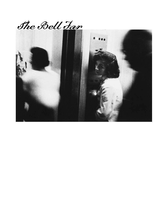

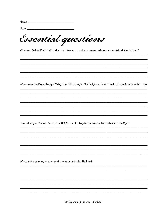| Name |  |
|------|--|
|------|--|

Essential questions

Who was Sylvia Plath? Why do you think she used a penname when she published The Bell Jar?

Who were the Rosenbergs? Why does Plath begin The Bell Jar with an allusion from American history?

In what ways is Sylvia Plath's The Bell Jar similar to J.D. Salinger's The Catcher in the Rye?

What is the primary meaning of the novel's titular Bell Jar?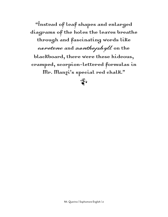"Instead of leaf shapes and enlarged diagrams of the holes the leaves breathe through and fascinating words like carotene and xanthophyll on the blackboard, there were these hideous, cramped, scorpion-lettered formulas in Mr. Manzi's special red chalk."

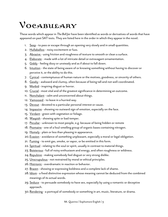## Vocabulary

These words which appear in The Bell Jar have been identified as words or derivatives of words that have appeared on past SAT tests. They are listed here in the order in which they appear in the novel.

- 1. Seep to pass or escape through an opening very slowly and in small quantities.
- 2. Hullaballoo noisy excitement or fuss.
- 3. Abrasive using friction and roughness of texture to smooth or clean a surface.
- 4. Elaborate made with a lot of intricate detail or extravagant ornamentation.
- 5. Giddy- feeling dizzy or unsteady and as if about to fall down.
- 6. Intuition the state of being aware of or knowing something without having to discover or perceive it, or the ability to do this.
- 7. Cynical contemptuous of human nature or the motives, goodness, or sincerity of others.
- 8. Gawky awkward and clumsy, often because of being tall and not well coordinated.
- 9. Morbid inspiring disgust or horror.
- 10. Crucial most vital and of the greatest significance in determining an outcome.
- 11. Nonchalant calm and unconcerned about things.
- 12. Vamoosed to leave in a hurried way.
- 13. Devout devoted to a particular personal interest or cause.
- 14. Impassive showing no outward sign of emotion, especially on the face.
- 15. Verdant green with vegetation or foliage.
- 16. Waspish showing spite or bad temper.
- 17. Peculiar unknown to most people, e.g. because of being hidden or remote
- 18. Ptomaine one of a foul-smelling group of organic bases containing nitrogen.
- 19. Homely plain or less than pleasing in appearance.
- 20. Evasion avoidance of something unpleasant, especially a moral or legal obligation.
- 21. Fuming to emit gas, smoke, or vapor, or be emitted in this form.
- 22. Spiritual relating to the soul or spirit, usually in contrast to material things.
- 23. Boisterous full of noisy enthusiasm and energy, and often roughness or wildness.
- 24. Repulsive making somebody feel disgust or very strong dislike.
- 25. Unscrupulous not restrained by moral or ethical principles.
- 26. Histrionic overdramatic in reaction or behavior.
- 27. Brazen showing or expressing boldness and a complete lack of shame.
- 28. Idiom a fixed distinctive expression whose meaning cannot be deduced from the combined meanings of its actual words.
- 29. Seduce to persuade somebody to have sex, especially by using a romantic or deceptive approach.
- 30. Rendering a portrayal of somebody or something in art, music, literature, or drama.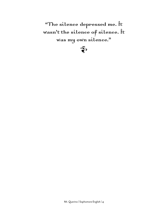"The silence depressed me. It wasn't the silence of silence. It was my own silence."

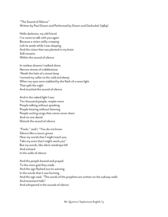"The Sound of Silence" Written by Paul Simon and Performed by Simon and Garfunkel (1964)

Hello darkness, my old friend I've come to talk with you again Because a vision softly creeping Left its seeds while I was sleeping And the vision that was planted in my brain Still remains Within the sound of silence

In restless dreams I walked alone Narrow streets of cobblestone 'Neath the halo of a street lamp I turned my collar to the cold and damp When my eyes were stabbed by the flash of a neon light That split the night And touched the sound of silence

And in the naked light I saw Ten thousand people, maybe more People talking without speaking People hearing without listening People writing songs that voices never share And no one dared Disturb the sound of silence

"Fools," said I, "You do not know Silence like a cancer grows Hear my words that I might teach you Take my arms that I might reach you" But my words, like silent raindrops fell And echoed In the wells of silence

And the people bowed and prayed To the neon god they made And the sign flashed out its warning In the words that it was forming And the sign said, "The words of the prophets are written on the subway walls And tenement halls" And whispered in the sounds of silence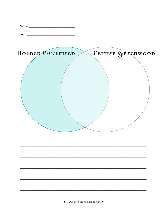| Name |  |  |  |
|------|--|--|--|
|      |  |  |  |

 ${\small \textsf{Date}} \xspace$ 

| HOLDED CAULFIELD | ESTHER GREENWOOD |
|------------------|------------------|
|                  |                  |
|                  |                  |
|                  |                  |
|                  |                  |